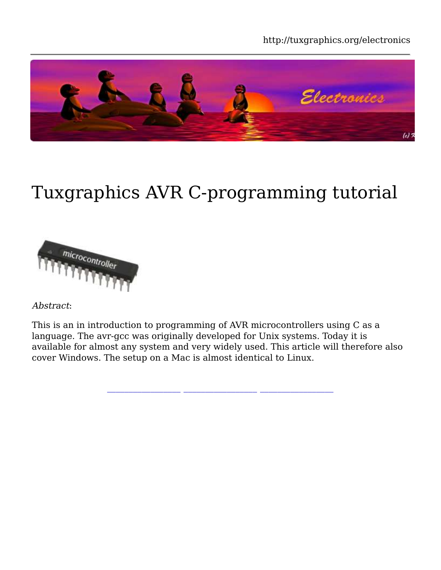

# Tuxgraphics AVR C-programming tutorial



Abstract:

This is an in introduction to programming of AVR microcontrollers using C as a language. The avr-gcc was originally developed for Unix systems. Today it is available for almost any system and very widely used. This article will therefore also cover Windows. The setup on a Mac is almost identical to Linux.

**\_\_\_\_\_\_\_\_\_\_\_\_\_\_\_\_\_ \_\_\_\_\_\_\_\_\_\_\_\_\_\_\_\_\_ \_\_\_\_\_\_\_\_\_\_\_\_\_\_\_\_\_**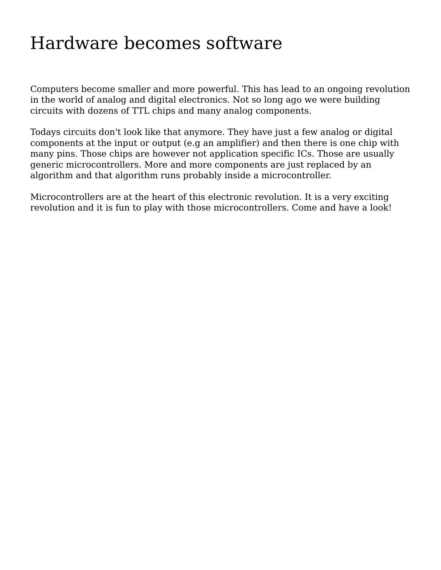#### Hardware becomes software

Computers become smaller and more powerful. This has lead to an ongoing revolution in the world of analog and digital electronics. Not so long ago we were building circuits with dozens of TTL chips and many analog components.

Todays circuits don't look like that anymore. They have just a few analog or digital components at the input or output (e.g an amplifier) and then there is one chip with many pins. Those chips are however not application specific ICs. Those are usually generic microcontrollers. More and more components are just replaced by an algorithm and that algorithm runs probably inside a microcontroller.

Microcontrollers are at the heart of this electronic revolution. It is a very exciting revolution and it is fun to play with those microcontrollers. Come and have a look!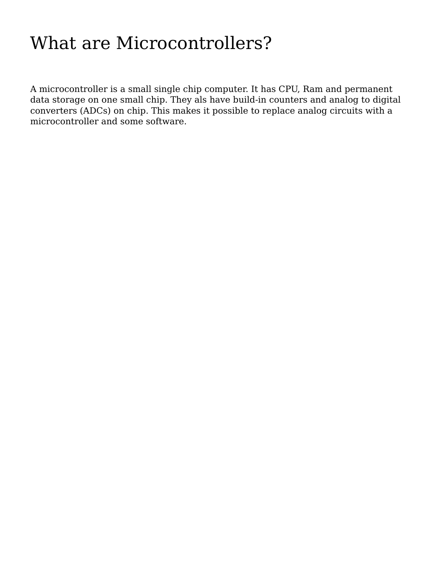### What are Microcontrollers?

A microcontroller is a small single chip computer. It has CPU, Ram and permanent data storage on one small chip. They als have build-in counters and analog to digital converters (ADCs) on chip. This makes it possible to replace analog circuits with a microcontroller and some software.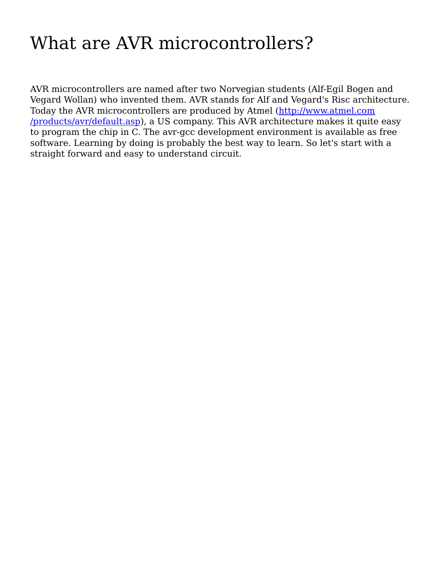### What are AVR microcontrollers?

AVR microcontrollers are named after two Norvegian students (Alf-Egil Bogen and Vegard Wollan) who invented them. AVR stands for Alf and Vegard's Risc architecture. Today the AVR microcontrollers are produced by Atmel (http://www.atmel.com /products/avr/default.asp), a US company. This AVR architecture makes it quite easy to program the chip in C. The avr-gcc development environment is available as free software. Learning by doing is probably the best way to learn. So let's start with a straight forward and easy to understand circuit.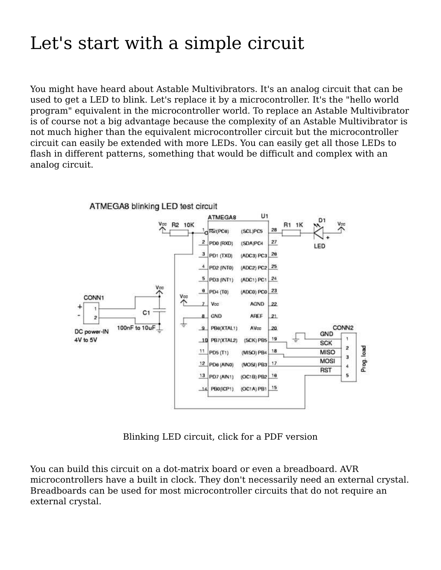### Let's start with a simple circuit

You might have heard about Astable Multivibrators. It's an analog circuit that can be used to get a LED to blink. Let's replace it by a microcontroller. It's the "hello world program" equivalent in the microcontroller world. To replace an Astable Multivibrator is of course not a big advantage because the complexity of an Astable Multivibrator is not much higher than the equivalent microcontroller circuit but the microcontroller circuit can easily be extended with more LEDs. You can easily get all those LEDs to flash in different patterns, something that would be difficult and complex with an analog circuit.



Blinking LED circuit, click for a PDF version

You can build this circuit on a dot-matrix board or even a breadboard. AVR microcontrollers have a built in clock. They don't necessarily need an external crystal. Breadboards can be used for most microcontroller circuits that do not require an external crystal.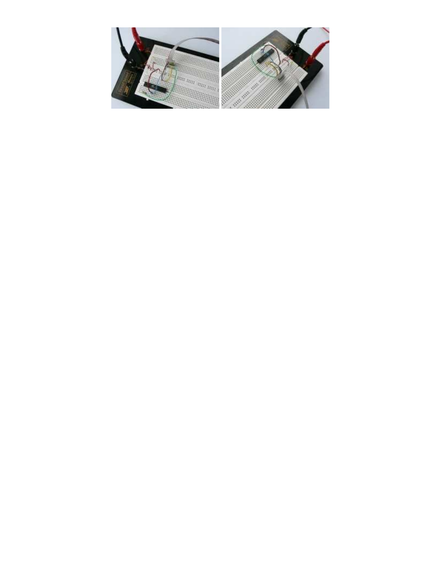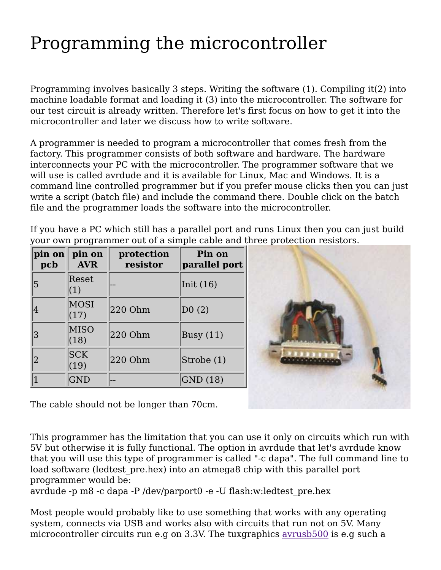## Programming the microcontroller

Programming involves basically 3 steps. Writing the software (1). Compiling it(2) into machine loadable format and loading it (3) into the microcontroller. The software for our test circuit is already written. Therefore let's first focus on how to get it into the microcontroller and later we discuss how to write software.

A programmer is needed to program a microcontroller that comes fresh from the factory. This programmer consists of both software and hardware. The hardware interconnects your PC with the microcontroller. The programmer software that we will use is called avrdude and it is available for Linux, Mac and Windows. It is a command line controlled programmer but if you prefer mouse clicks then you can just write a script (batch file) and include the command there. Double click on the batch file and the programmer loads the software into the microcontroller.

If you have a PC which still has a parallel port and runs Linux then you can just build your own programmer out of a simple cable and three protection resistors.

| pin on<br>$\mathbf{pcb}$ | pin on<br><b>AVR</b> | protection<br>resistor | Pin on<br> parallel port |
|--------------------------|----------------------|------------------------|--------------------------|
| 5                        | Reset<br>(1)         |                        | Init (16)                |
|                          | MOSI<br>(17)         | 220 Ohm                | D0(2)                    |
| 3                        | MISO<br>(18)         | 220 Ohm                | Busy $(11)$              |
|                          | SCK<br>(19)          | 220 Ohm                | Strobe (1)               |
|                          | GND                  |                        | GND(18)                  |



The cable should not be longer than 70cm.

This programmer has the limitation that you can use it only on circuits which run with 5V but otherwise it is fully functional. The option in avrdude that let's avrdude know that you will use this type of programmer is called "-c dapa". The full command line to load software (ledtest\_pre.hex) into an atmega8 chip with this parallel port programmer would be:

avrdude -p m8 -c dapa -P /dev/parport0 -e -U flash:w:ledtest\_pre.hex

Most people would probably like to use something that works with any operating system, connects via USB and works also with circuits that run not on 5V. Many microcontroller circuits run e.g on 3.3V. The tuxgraphics <u>avrusb500</u> is e.g such a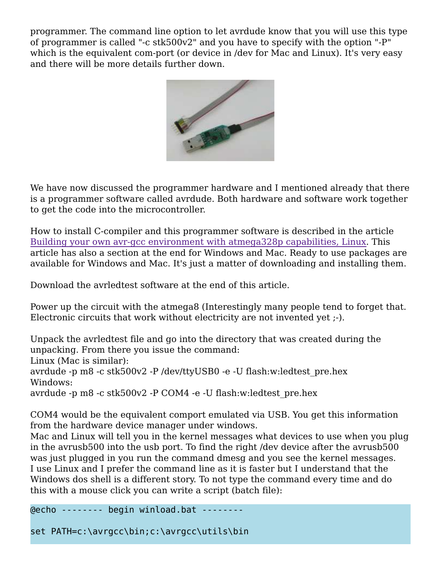programmer. The command line option to let avrdude know that you will use this type of programmer is called "-c stk500v2" and you have to specify with the option "-P" which is the equivalent com-port (or device in /dev for Mac and Linux). It's very easy and there will be more details further down.



We have now discussed the programmer hardware and I mentioned already that there is a programmer software called avrdude. Both hardware and software work together to get the code into the microcontroller.

How to install C-compiler and this programmer software is described in the article Building your own avr-gcc environment with atmega328p capabilities, Linux. This article has also a section at the end for Windows and Mac. Ready to use packages are available for Windows and Mac. It's just a matter of downloading and installing them.

Download the avrledtest software at the end of this article.

Power up the circuit with the atmega8 (Interestingly many people tend to forget that. Electronic circuits that work without electricity are not invented yet ;-).

Unpack the avrledtest file and go into the directory that was created during the unpacking. From there you issue the command: Linux (Mac is similar): avrdude -p m8 -c stk500v2 -P /dev/ttyUSB0 -e -U flash:w:ledtest\_pre.hex Windows: avrdude -p m8 -c stk500v2 -P COM4 -e -U flash:w:ledtest\_pre.hex

COM4 would be the equivalent comport emulated via USB. You get this information from the hardware device manager under windows.

Mac and Linux will tell you in the kernel messages what devices to use when you plug in the avrusb500 into the usb port. To find the right /dev device after the avrusb500 was just plugged in you run the command dmesg and you see the kernel messages. I use Linux and I prefer the command line as it is faster but I understand that the Windows dos shell is a different story. To not type the command every time and do this with a mouse click you can write a script (batch file):

@echo -------- begin winload.bat --------

set PATH=c:\avrgcc\bin;c:\avrgcc\utils\bin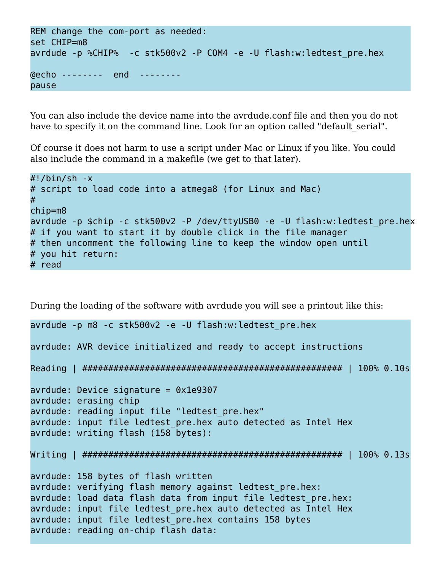```
REM change the com-port as needed:
set CHIP=m8
avrdude -p %CHIP% -c stk500v2 -P COM4 -e -U flash:w:ledtest_pre.hex
@echo -------- end --------
pause
```
You can also include the device name into the avrdude.conf file and then you do not have to specify it on the command line. Look for an option called "default serial".

Of course it does not harm to use a script under Mac or Linux if you like. You could also include the command in a makefile (we get to that later).

```
#!/bin/sh -x
# script to load code into a atmega8 (for Linux and Mac)
#
chip=m8
avrdude -p $chip -c stk500v2 -P /dev/ttyUSB0 -e -U flash:w:ledtest_pre.hex
# if you want to start it by double click in the file manager
# then uncomment the following line to keep the window open until
# you hit return:
# read
```
During the loading of the software with avrdude you will see a printout like this:

```
avrdude -p m8 -c stk500v2 -e -U flash:w:ledtest_pre.hex
avrdude: AVR device initialized and ready to accept instructions
Reading | ################################################## | 100% 0.10s
average: Device signature = 0x1e9307avrdude: erasing chip
avrdude: reading input file "ledtest pre.hex"
avrdude: input file ledtest_pre.hex auto detected as Intel Hex
avrdude: writing flash (158 bytes):
Writing | ################################################## | 100% 0.13s
avrdude: 158 bytes of flash written
avrdude: verifying flash memory against ledtest pre.hex:
avrdude: load data flash data from input file ledtest pre.hex:
avrdude: input file ledtest pre.hex auto detected as Intel Hex
avrdude: input file ledtest pre.hex contains 158 bytes
avrdude: reading on-chip flash data:
```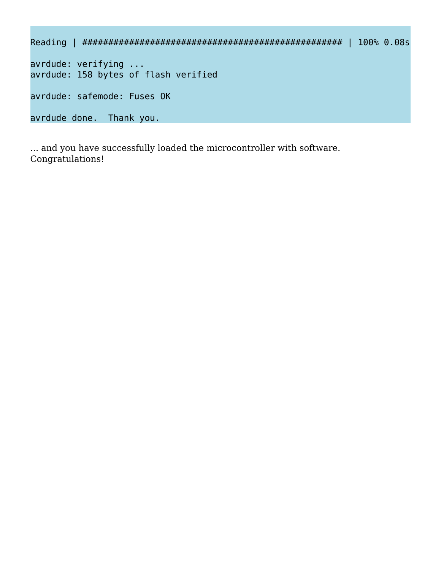Reading | ################################################## | 100% 0.08s

avrdude: verifying ... avrdude: 158 bytes of flash verified avrdude: safemode: Fuses OK avrdude done. Thank you.

... and you have successfully loaded the microcontroller with software. Congratulations!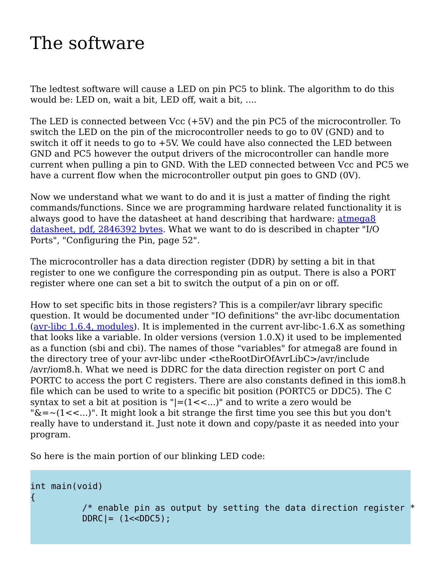### The software

The ledtest software will cause a LED on pin PC5 to blink. The algorithm to do this would be: LED on, wait a bit, LED off, wait a bit, ....

The LED is connected between Vcc (+5V) and the pin PC5 of the microcontroller. To switch the LED on the pin of the microcontroller needs to go to 0V (GND) and to switch it off it needs to go to  $+5V$ . We could have also connected the LED between GND and PC5 however the output drivers of the microcontroller can handle more current when pulling a pin to GND. With the LED connected between Vcc and PC5 we have a current flow when the microcontroller output pin goes to GND (0V).

Now we understand what we want to do and it is just a matter of finding the right commands/functions. Since we are programming hardware related functionality it is always good to have the datasheet at hand describing that hardware: atmega8 datasheet, pdf, 2846392 bytes. What we want to do is described in chapter "I/O Ports", "Configuring the Pin, page 52".

The microcontroller has a data direction register (DDR) by setting a bit in that register to one we configure the corresponding pin as output. There is also a PORT register where one can set a bit to switch the output of a pin on or off.

How to set specific bits in those registers? This is a compiler/avr library specific question. It would be documented under "IO definitions" the avr-libc documentation (avr-libc 1.6.4, modules). It is implemented in the current avr-libc-1.6.X as something that looks like a variable. In older versions (version 1.0.X) it used to be implemented as a function (sbi and cbi). The names of those "variables" for atmega8 are found in the directory tree of your avr-libc under <theRootDirOfAvrLibC>/avr/include /avr/iom8.h. What we need is DDRC for the data direction register on port C and PORTC to access the port C registers. There are also constants defined in this iom8.h file which can be used to write to a specific bit position (PORTC5 or DDC5). The C syntax to set a bit at position is " $|=(1<\leq...)$ " and to write a zero would be " $&=-(1<<...)$ ". It might look a bit strange the first time you see this but you don't really have to understand it. Just note it down and copy/paste it as needed into your program.

So here is the main portion of our blinking LED code:

```
int main(void)
{
```

```
/* enable pin as output by setting the data direction register *DDRC = (1<DDC5);
```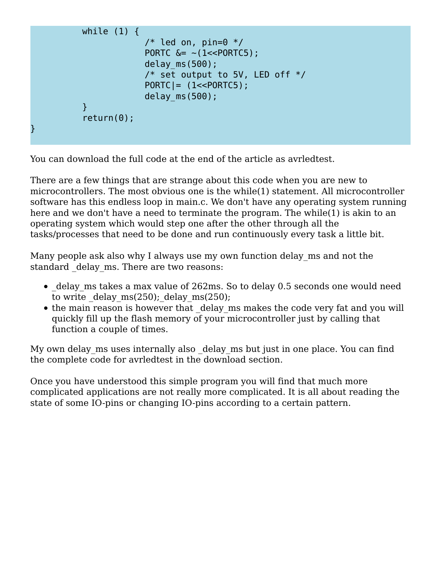

You can download the full code at the end of the article as avrledtest.

There are a few things that are strange about this code when you are new to microcontrollers. The most obvious one is the while(1) statement. All microcontroller software has this endless loop in main.c. We don't have any operating system running here and we don't have a need to terminate the program. The while(1) is akin to an operating system which would step one after the other through all the tasks/processes that need to be done and run continuously every task a little bit.

Many people ask also why I always use my own function delay ms and not the standard delay ms. There are two reasons:

- \_delay\_ms takes a max value of 262ms. So to delay 0.5 seconds one would need to write delay ms(250); delay ms(250);
- the main reason is however that delay ms makes the code very fat and you will quickly fill up the flash memory of your microcontroller just by calling that function a couple of times.

My own delay ms uses internally also delay ms but just in one place. You can find the complete code for avrledtest in the download section.

Once you have understood this simple program you will find that much more complicated applications are not really more complicated. It is all about reading the state of some IO-pins or changing IO-pins according to a certain pattern.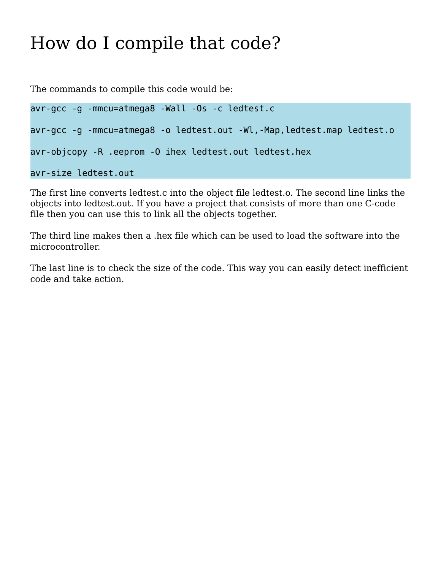### How do I compile that code?

The commands to compile this code would be:

```
avr-gcc -g -mmcu=atmega8 -Wall -Os -c ledtest.c
avr-gcc -g -mmcu=atmega8 -o ledtest.out -Wl,-Map,ledtest.map ledtest.o
avr-objcopy -R .eeprom -O ihex ledtest.out ledtest.hex
avr-size ledtest.out
```
The first line converts ledtest.c into the object file ledtest.o. The second line links the objects into ledtest.out. If you have a project that consists of more than one C-code file then you can use this to link all the objects together.

The third line makes then a .hex file which can be used to load the software into the microcontroller.

The last line is to check the size of the code. This way you can easily detect inefficient code and take action.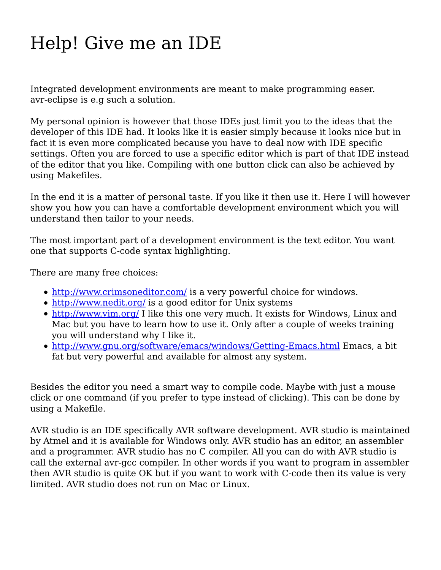# Help! Give me an IDE

Integrated development environments are meant to make programming easer. avr-eclipse is e.g such a solution.

My personal opinion is however that those IDEs just limit you to the ideas that the developer of this IDE had. It looks like it is easier simply because it looks nice but in fact it is even more complicated because you have to deal now with IDE specific settings. Often you are forced to use a specific editor which is part of that IDE instead of the editor that you like. Compiling with one button click can also be achieved by using Makefiles.

In the end it is a matter of personal taste. If you like it then use it. Here I will however show you how you can have a comfortable development environment which you will understand then tailor to your needs.

The most important part of a development environment is the text editor. You want one that supports C-code syntax highlighting.

There are many free choices:

- http://www.crimsoneditor.com/ is a very powerful choice for windows.
- http://www.nedit.org/ is a good editor for Unix systems
- http://www.vim.org/ I like this one very much. It exists for Windows, Linux and Mac but you have to learn how to use it. Only after a couple of weeks training you will understand why I like it.
- http://www.gnu.org/software/emacs/windows/Getting-Emacs.html Emacs, a bit fat but very powerful and available for almost any system.

Besides the editor you need a smart way to compile code. Maybe with just a mouse click or one command (if you prefer to type instead of clicking). This can be done by using a Makefile.

AVR studio is an IDE specifically AVR software development. AVR studio is maintained by Atmel and it is available for Windows only. AVR studio has an editor, an assembler and a programmer. AVR studio has no C compiler. All you can do with AVR studio is call the external avr-gcc compiler. In other words if you want to program in assembler then AVR studio is quite OK but if you want to work with C-code then its value is very limited. AVR studio does not run on Mac or Linux.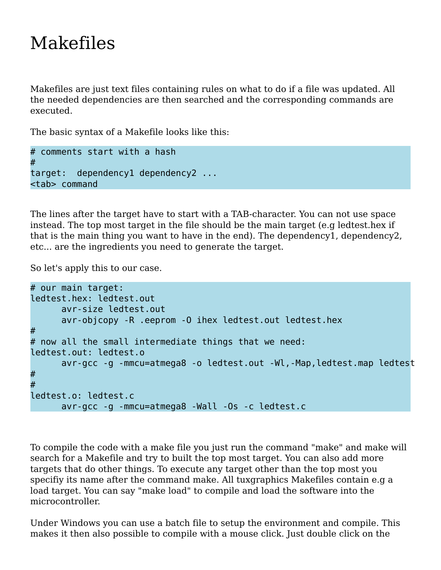#### Makefiles

Makefiles are just text files containing rules on what to do if a file was updated. All the needed dependencies are then searched and the corresponding commands are executed.

The basic syntax of a Makefile looks like this:

```
# comments start with a hash
#
target: dependency1 dependency2 ...
<tab> command
```
The lines after the target have to start with a TAB-character. You can not use space instead. The top most target in the file should be the main target (e.g ledtest.hex if that is the main thing you want to have in the end). The dependency1, dependency2, etc... are the ingredients you need to generate the target.

So let's apply this to our case.

```
# our main target:
ledtest.hex: ledtest.out
       avr-size ledtest.out
       avr-objcopy -R .eeprom -O ihex ledtest.out ledtest.hex
#
# now all the small intermediate things that we need:
ledtest.out: ledtest.o
      avr-gcc -g -mmcu=atmega8 -o ledtest.out -Wl,-Map,ledtest.map ledtest
#
#
ledtest.o: ledtest.c
       avr-gcc -g -mmcu=atmega8 -Wall -Os -c ledtest.c
```
To compile the code with a make file you just run the command "make" and make will search for a Makefile and try to built the top most target. You can also add more targets that do other things. To execute any target other than the top most you specifiy its name after the command make. All tuxgraphics Makefiles contain e.g a load target. You can say "make load" to compile and load the software into the microcontroller.

Under Windows you can use a batch file to setup the environment and compile. This makes it then also possible to compile with a mouse click. Just double click on the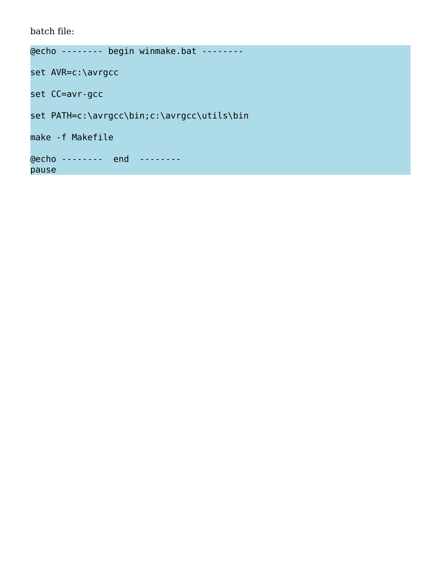batch file:

@echo -------- begin winmake.bat ------- set AVR=c:\avrgcc set CC=avr-gcc set PATH=c:\avrgcc\bin;c:\avrgcc\utils\bin make -f Makefile @echo -------- end ------- pause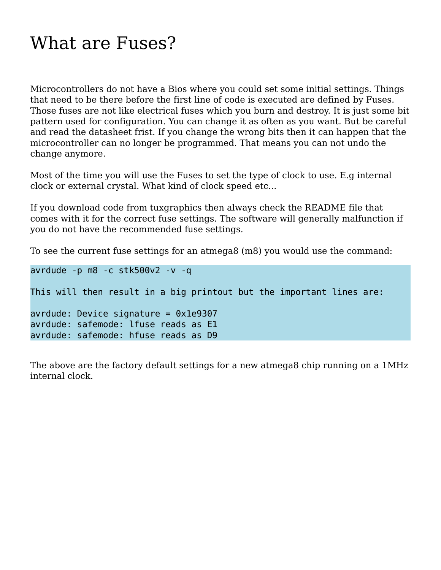#### What are Fuses?

Microcontrollers do not have a Bios where you could set some initial settings. Things that need to be there before the first line of code is executed are defined by Fuses. Those fuses are not like electrical fuses which you burn and destroy. It is just some bit pattern used for configuration. You can change it as often as you want. But be careful and read the datasheet frist. If you change the wrong bits then it can happen that the microcontroller can no longer be programmed. That means you can not undo the change anymore.

Most of the time you will use the Fuses to set the type of clock to use. E.g internal clock or external crystal. What kind of clock speed etc...

If you download code from tuxgraphics then always check the README file that comes with it for the correct fuse settings. The software will generally malfunction if you do not have the recommended fuse settings.

To see the current fuse settings for an atmega8 (m8) you would use the command:

```
avrdude -p m8 -c stk500v2 -v -q
This will then result in a big printout but the important lines are:
avrdude: Device signature = <math>0x1e9307</math>avrdude: safemode: lfuse reads as E1
avrdude: safemode: hfuse reads as D9
```
The above are the factory default settings for a new atmega8 chip running on a 1MHz internal clock.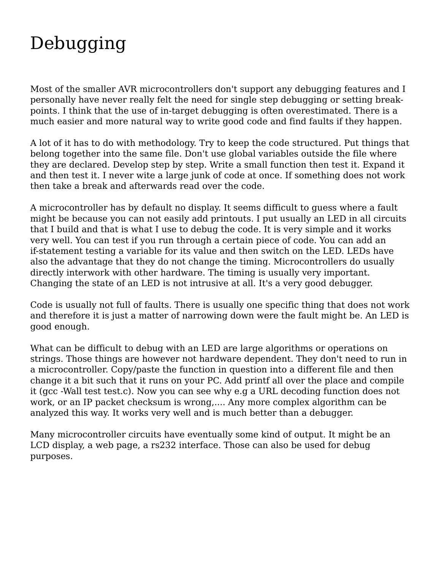# Debugging

Most of the smaller AVR microcontrollers don't support any debugging features and I personally have never really felt the need for single step debugging or setting breakpoints. I think that the use of in-target debugging is often overestimated. There is a much easier and more natural way to write good code and find faults if they happen.

A lot of it has to do with methodology. Try to keep the code structured. Put things that belong together into the same file. Don't use global variables outside the file where they are declared. Develop step by step. Write a small function then test it. Expand it and then test it. I never wite a large junk of code at once. If something does not work then take a break and afterwards read over the code.

A microcontroller has by default no display. It seems difficult to guess where a fault might be because you can not easily add printouts. I put usually an LED in all circuits that I build and that is what I use to debug the code. It is very simple and it works very well. You can test if you run through a certain piece of code. You can add an if-statement testing a variable for its value and then switch on the LED. LEDs have also the advantage that they do not change the timing. Microcontrollers do usually directly interwork with other hardware. The timing is usually very important. Changing the state of an LED is not intrusive at all. It's a very good debugger.

Code is usually not full of faults. There is usually one specific thing that does not work and therefore it is just a matter of narrowing down were the fault might be. An LED is good enough.

What can be difficult to debug with an LED are large algorithms or operations on strings. Those things are however not hardware dependent. They don't need to run in a microcontroller. Copy/paste the function in question into a different file and then change it a bit such that it runs on your PC. Add printf all over the place and compile it (gcc -Wall test test.c). Now you can see why e.g a URL decoding function does not work, or an IP packet checksum is wrong,.... Any more complex algorithm can be analyzed this way. It works very well and is much better than a debugger.

Many microcontroller circuits have eventually some kind of output. It might be an LCD display, a web page, a rs232 interface. Those can also be used for debug purposes.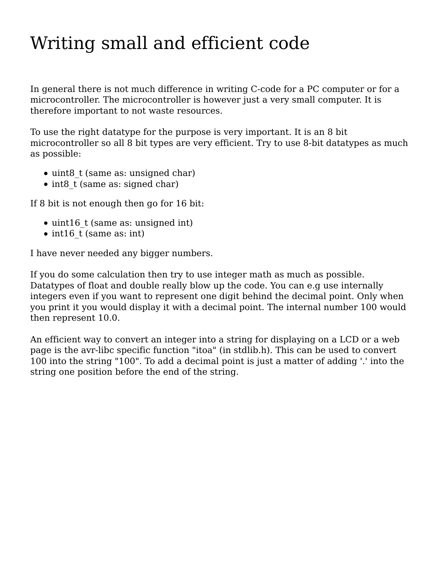# Writing small and efficient code

In general there is not much difference in writing C-code for a PC computer or for a microcontroller. The microcontroller is however just a very small computer. It is therefore important to not waste resources.

To use the right datatype for the purpose is very important. It is an 8 bit microcontroller so all 8 bit types are very efficient. Try to use 8-bit datatypes as much as possible:

- uint8 t (same as: unsigned char)
- int8 t (same as: signed char)

If 8 bit is not enough then go for 16 bit:

- uint16 t (same as: unsigned int)
- int16 t (same as: int)

I have never needed any bigger numbers.

If you do some calculation then try to use integer math as much as possible. Datatypes of float and double really blow up the code. You can e.g use internally integers even if you want to represent one digit behind the decimal point. Only when you print it you would display it with a decimal point. The internal number 100 would then represent 10.0.

An efficient way to convert an integer into a string for displaying on a LCD or a web page is the avr-libc specific function "itoa" (in stdlib.h). This can be used to convert 100 into the string "100". To add a decimal point is just a matter of adding '.' into the string one position before the end of the string.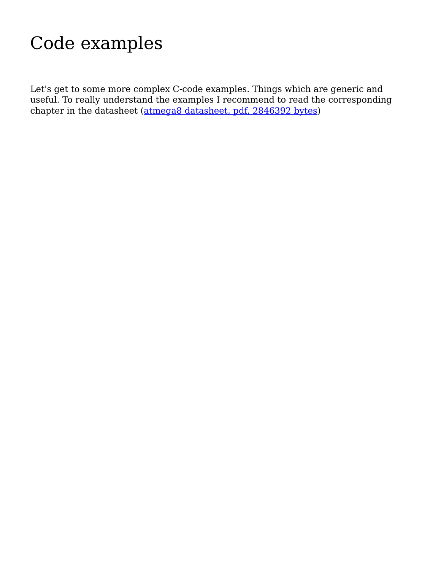## Code examples

Let's get to some more complex C-code examples. Things which are generic and useful. To really understand the examples I recommend to read the corresponding chapter in the datasheet (atmega8 datasheet, pdf, 2846392 bytes)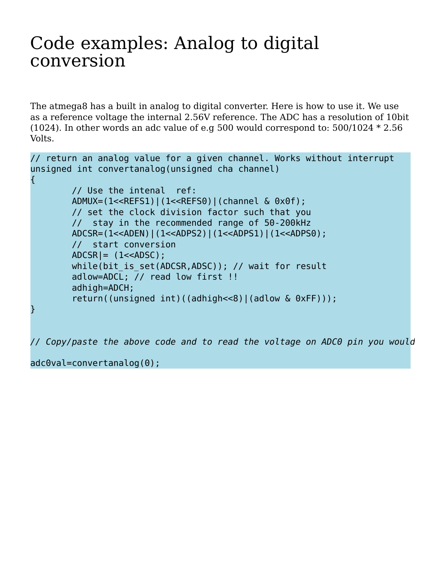#### Code examples: Analog to digital conversion

The atmega8 has a built in analog to digital converter. Here is how to use it. We use as a reference voltage the internal 2.56V reference. The ADC has a resolution of 10bit (1024). In other words an adc value of e.g 500 would correspond to:  $500/1024 * 2.56$ Volts.

```
// return an analog value for a given channel. Works without interrupt
unsigned int convertanalog(unsigned cha channel)
{
         // Use the intenal ref:
         ADMUX=(1<<REFS1)|(1<<REFS0)|(channel & 0x0f);
         // set the clock division factor such that you
         // stay in the recommended range of 50-200kHz
         ADCSR=(1<<ADEN)|(1<<ADPS2)|(1<<ADPS1)|(1<<ADPS0);
         // start conversion
        ADCSR = (1<<ADSC);
        while(bit is set(ADCSR,ADSC)); // wait for result
         adlow=ADCL; // read low first !!
         adhigh=ADCH;
         return((unsigned int)((adhigh<<8)|(adlow & 0xFF)));
}
\frac{1}{2} Copy/paste the above code and to read the voltage on ADC0 pin you would
adc0val=convertanalog(0);
```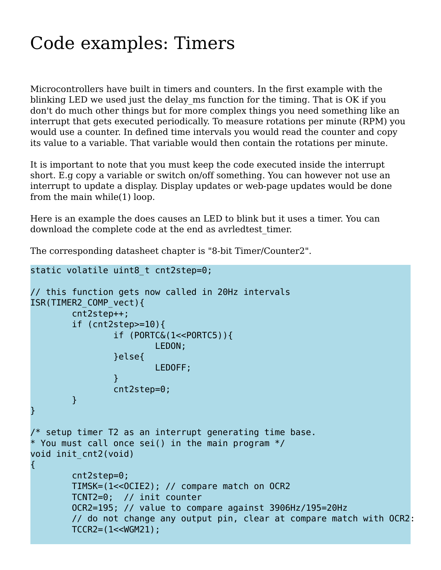# Code examples: Timers

Microcontrollers have built in timers and counters. In the first example with the blinking LED we used just the delay ms function for the timing. That is OK if you don't do much other things but for more complex things you need something like an interrupt that gets executed periodically. To measure rotations per minute (RPM) you would use a counter. In defined time intervals you would read the counter and copy its value to a variable. That variable would then contain the rotations per minute.

It is important to note that you must keep the code executed inside the interrupt short. E.g copy a variable or switch on/off something. You can however not use an interrupt to update a display. Display updates or web-page updates would be done from the main while(1) loop.

Here is an example the does causes an LED to blink but it uses a timer. You can download the complete code at the end as avrledtest\_timer.

The corresponding datasheet chapter is "8-bit Timer/Counter2".

```
static volatile uint8 t cnt2step=0;
// this function gets now called in 20Hz intervals
ISR(TIMER2_COMP_vect){
          cnt2step++;
         if (\text{cnt2step}>=10)\ if (PORTC&(1<<PORTC5)){
                             LEDON;
                   }else{
                             LEDOFF;
denotes the control of the second property of the second property of the second property \} cnt2step=0;
          }
}
/* setup timer T2 as an interrupt generating time base.
* You must call once sei() in the main program */void init_cnt2(void)
{
          cnt2step=0;
          TIMSK=(1<<OCIE2); // compare match on OCR2
          TCNT2=0; // init counter
          OCR2=195; // value to compare against 3906Hz/195=20Hz
          // do not change any output pin, clear at compare match with OCR2:
          TCCR2=(1<<WGM21);
```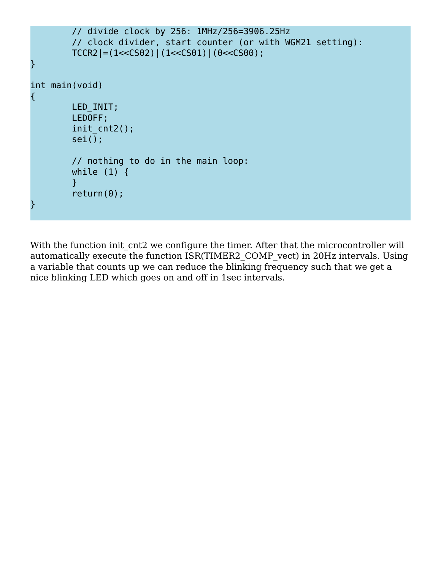```
 // divide clock by 256: 1MHz/256=3906.25Hz
         // clock divider, start counter (or with WGM21 setting):
         TCCR2|=(1<<CS02)|(1<<CS01)|(0<<CS00);
}
int main(void)
{
         LED_INIT;
         LEDOFF;
         init_cnt2();
         sei();
         // nothing to do in the main loop:
         while (1) {
         }
         return(0);
}
```
With the function init cnt2 we configure the timer. After that the microcontroller will automatically execute the function ISR(TIMER2\_COMP\_vect) in 20Hz intervals. Using a variable that counts up we can reduce the blinking frequency such that we get a nice blinking LED which goes on and off in 1sec intervals.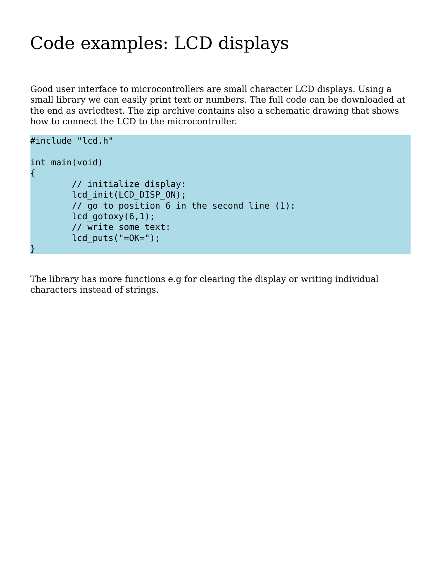# Code examples: LCD displays

Good user interface to microcontrollers are small character LCD displays. Using a small library we can easily print text or numbers. The full code can be downloaded at the end as avrlcdtest. The zip archive contains also a schematic drawing that shows how to connect the LCD to the microcontroller.

```
#include "lcd.h"
int main(void)
{
         // initialize display:
        lcd_init(LCD_DISP_ON);
        // go to position 6 in the second line (1):
        lcd gotoxy(6,1);
         // write some text:
        lcd puts("=OK=");
}
```
The library has more functions e.g for clearing the display or writing individual characters instead of strings.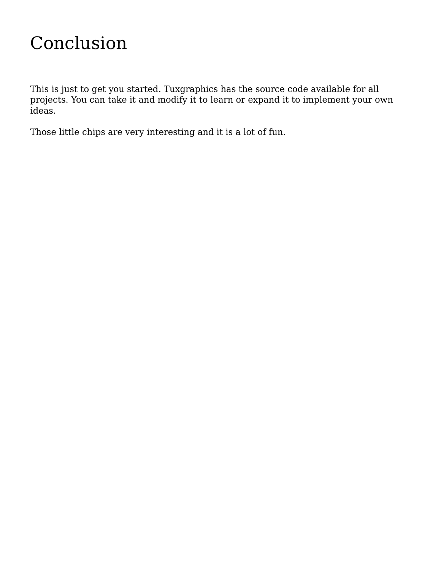## Conclusion

This is just to get you started. Tuxgraphics has the source code available for all projects. You can take it and modify it to learn or expand it to implement your own ideas.

Those little chips are very interesting and it is a lot of fun.